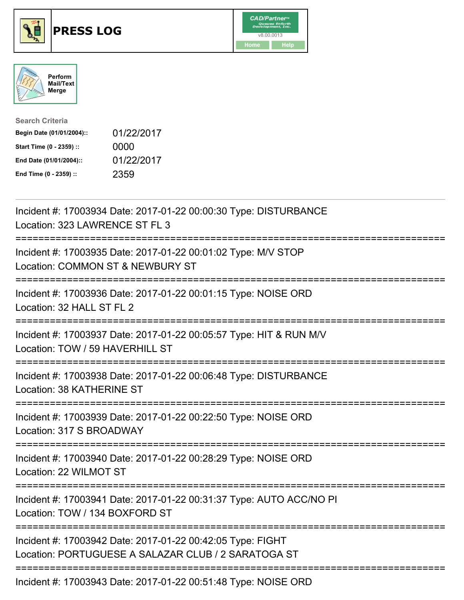





| <b>Search Criteria</b>    |            |
|---------------------------|------------|
| Begin Date (01/01/2004):: | 01/22/2017 |
| Start Time (0 - 2359) ::  | 0000       |
| End Date (01/01/2004)::   | 01/22/2017 |
| End Time (0 - 2359) ::    | 2359       |

| Incident #: 17003934 Date: 2017-01-22 00:00:30 Type: DISTURBANCE<br>Location: 323 LAWRENCE ST FL 3                              |
|---------------------------------------------------------------------------------------------------------------------------------|
| Incident #: 17003935 Date: 2017-01-22 00:01:02 Type: M/V STOP<br>Location: COMMON ST & NEWBURY ST                               |
| Incident #: 17003936 Date: 2017-01-22 00:01:15 Type: NOISE ORD<br>Location: 32 HALL ST FL 2                                     |
| Incident #: 17003937 Date: 2017-01-22 00:05:57 Type: HIT & RUN M/V<br>Location: TOW / 59 HAVERHILL ST                           |
| Incident #: 17003938 Date: 2017-01-22 00:06:48 Type: DISTURBANCE<br>Location: 38 KATHERINE ST                                   |
| Incident #: 17003939 Date: 2017-01-22 00:22:50 Type: NOISE ORD<br>Location: 317 S BROADWAY                                      |
| Incident #: 17003940 Date: 2017-01-22 00:28:29 Type: NOISE ORD<br>Location: 22 WILMOT ST<br>--------------                      |
| Incident #: 17003941 Date: 2017-01-22 00:31:37 Type: AUTO ACC/NO PI<br>Location: TOW / 134 BOXFORD ST                           |
| ----------<br>Incident #: 17003942 Date: 2017-01-22 00:42:05 Type: FIGHT<br>Location: PORTUGUESE A SALAZAR CLUB / 2 SARATOGA ST |
| Incident #: 17003943 Date: 2017-01-22 00:51:48 Type: NOISE ORD                                                                  |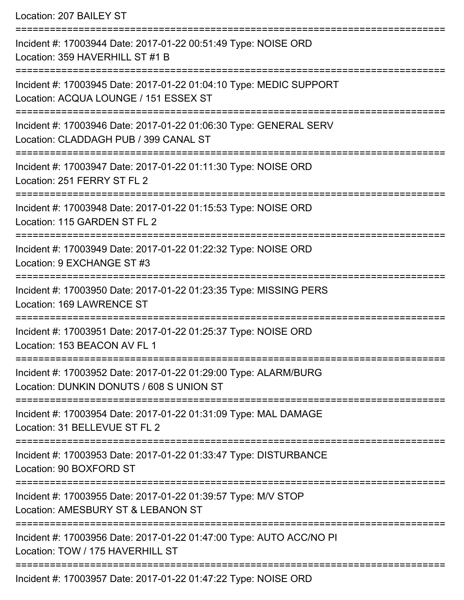Location: 207 BAILEY ST =========================================================================== Incident #: 17003944 Date: 2017-01-22 00:51:49 Type: NOISE ORD Location: 359 HAVERHILL ST #1 B =========================================================================== Incident #: 17003945 Date: 2017-01-22 01:04:10 Type: MEDIC SUPPORT Location: ACQUA LOUNGE / 151 ESSEX ST =========================================================================== Incident #: 17003946 Date: 2017-01-22 01:06:30 Type: GENERAL SERV Location: CLADDAGH PUB / 399 CANAL ST =========================================================================== Incident #: 17003947 Date: 2017-01-22 01:11:30 Type: NOISE ORD Location: 251 FERRY ST FL 2 =========================================================================== Incident #: 17003948 Date: 2017-01-22 01:15:53 Type: NOISE ORD Location: 115 GARDEN ST FL 2 =========================================================================== Incident #: 17003949 Date: 2017-01-22 01:22:32 Type: NOISE ORD Location: 9 EXCHANGE ST #3 =========================================================================== Incident #: 17003950 Date: 2017-01-22 01:23:35 Type: MISSING PERS Location: 169 LAWRENCE ST =========================================================================== Incident #: 17003951 Date: 2017-01-22 01:25:37 Type: NOISE ORD Location: 153 BEACON AV FL 1 =========================================================================== Incident #: 17003952 Date: 2017-01-22 01:29:00 Type: ALARM/BURG Location: DUNKIN DONUTS / 608 S UNION ST =========================================================================== Incident #: 17003954 Date: 2017-01-22 01:31:09 Type: MAL DAMAGE Location: 31 BELLEVUE ST FL 2 =========================================================================== Incident #: 17003953 Date: 2017-01-22 01:33:47 Type: DISTURBANCE Location: 90 BOXFORD ST =========================================================================== Incident #: 17003955 Date: 2017-01-22 01:39:57 Type: M/V STOP Location: AMESBURY ST & LEBANON ST =========================================================================== Incident #: 17003956 Date: 2017-01-22 01:47:00 Type: AUTO ACC/NO PI Location: TOW / 175 HAVERHILL ST ===========================================================================

Incident #: 17003957 Date: 2017-01-22 01:47:22 Type: NOISE ORD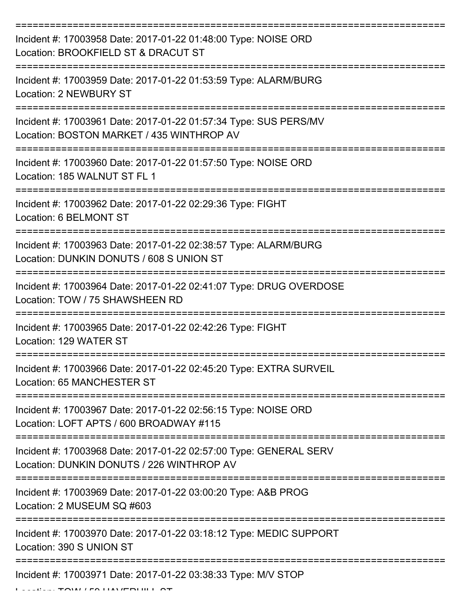| Incident #: 17003958 Date: 2017-01-22 01:48:00 Type: NOISE ORD<br>Location: BROOKFIELD ST & DRACUT ST          |
|----------------------------------------------------------------------------------------------------------------|
| Incident #: 17003959 Date: 2017-01-22 01:53:59 Type: ALARM/BURG<br>Location: 2 NEWBURY ST                      |
| Incident #: 17003961 Date: 2017-01-22 01:57:34 Type: SUS PERS/MV<br>Location: BOSTON MARKET / 435 WINTHROP AV  |
| Incident #: 17003960 Date: 2017-01-22 01:57:50 Type: NOISE ORD<br>Location: 185 WALNUT ST FL 1                 |
| Incident #: 17003962 Date: 2017-01-22 02:29:36 Type: FIGHT<br>Location: 6 BELMONT ST                           |
| Incident #: 17003963 Date: 2017-01-22 02:38:57 Type: ALARM/BURG<br>Location: DUNKIN DONUTS / 608 S UNION ST    |
| Incident #: 17003964 Date: 2017-01-22 02:41:07 Type: DRUG OVERDOSE<br>Location: TOW / 75 SHAWSHEEN RD          |
| Incident #: 17003965 Date: 2017-01-22 02:42:26 Type: FIGHT<br>Location: 129 WATER ST                           |
| Incident #: 17003966 Date: 2017-01-22 02:45:20 Type: EXTRA SURVEIL<br>Location: 65 MANCHESTER ST               |
| Incident #: 17003967 Date: 2017-01-22 02:56:15 Type: NOISE ORD<br>Location: LOFT APTS / 600 BROADWAY #115      |
| Incident #: 17003968 Date: 2017-01-22 02:57:00 Type: GENERAL SERV<br>Location: DUNKIN DONUTS / 226 WINTHROP AV |
| Incident #: 17003969 Date: 2017-01-22 03:00:20 Type: A&B PROG<br>Location: 2 MUSEUM SQ #603                    |
| Incident #: 17003970 Date: 2017-01-22 03:18:12 Type: MEDIC SUPPORT<br>Location: 390 S UNION ST                 |
| Incident #: 17003971 Date: 2017-01-22 03:38:33 Type: M/V STOP                                                  |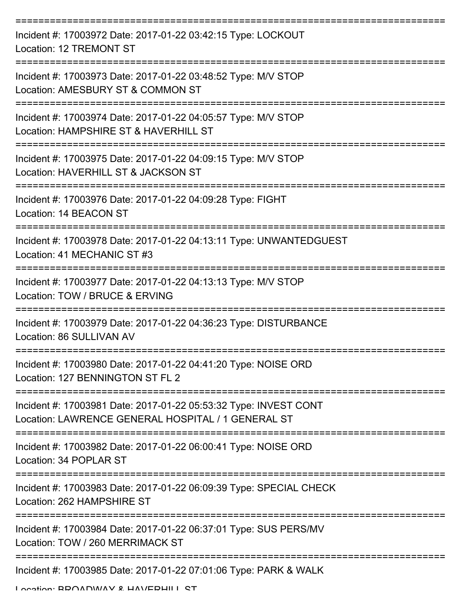| Incident #: 17003972 Date: 2017-01-22 03:42:15 Type: LOCKOUT<br>Location: 12 TREMONT ST                                |
|------------------------------------------------------------------------------------------------------------------------|
| Incident #: 17003973 Date: 2017-01-22 03:48:52 Type: M/V STOP<br>Location: AMESBURY ST & COMMON ST                     |
| Incident #: 17003974 Date: 2017-01-22 04:05:57 Type: M/V STOP<br>Location: HAMPSHIRE ST & HAVERHILL ST                 |
| Incident #: 17003975 Date: 2017-01-22 04:09:15 Type: M/V STOP<br>Location: HAVERHILL ST & JACKSON ST                   |
| Incident #: 17003976 Date: 2017-01-22 04:09:28 Type: FIGHT<br>Location: 14 BEACON ST                                   |
| Incident #: 17003978 Date: 2017-01-22 04:13:11 Type: UNWANTEDGUEST<br>Location: 41 MECHANIC ST #3                      |
| Incident #: 17003977 Date: 2017-01-22 04:13:13 Type: M/V STOP<br>Location: TOW / BRUCE & ERVING                        |
| Incident #: 17003979 Date: 2017-01-22 04:36:23 Type: DISTURBANCE<br>Location: 86 SULLIVAN AV                           |
| Incident #: 17003980 Date: 2017-01-22 04:41:20 Type: NOISE ORD<br>Location: 127 BENNINGTON ST FL 2                     |
| Incident #: 17003981 Date: 2017-01-22 05:53:32 Type: INVEST CONT<br>Location: LAWRENCE GENERAL HOSPITAL / 1 GENERAL ST |
| Incident #: 17003982 Date: 2017-01-22 06:00:41 Type: NOISE ORD<br>Location: 34 POPLAR ST                               |
| Incident #: 17003983 Date: 2017-01-22 06:09:39 Type: SPECIAL CHECK<br>Location: 262 HAMPSHIRE ST                       |
| Incident #: 17003984 Date: 2017-01-22 06:37:01 Type: SUS PERS/MV<br>Location: TOW / 260 MERRIMACK ST                   |
| Incident #: 17003985 Date: 2017-01-22 07:01:06 Type: PARK & WALK                                                       |

Location: BDOADWAV & HAVEDHILL ST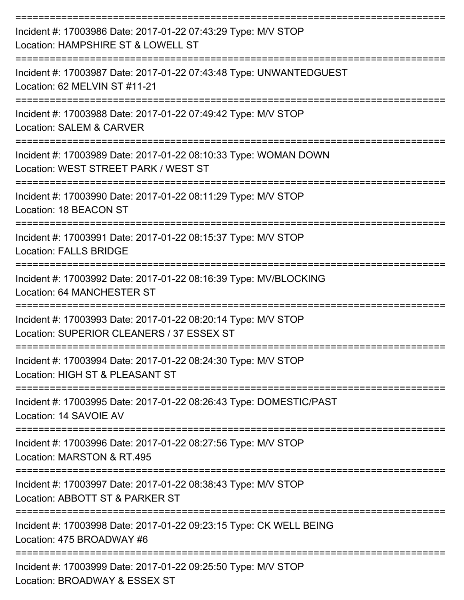| Incident #: 17003986 Date: 2017-01-22 07:43:29 Type: M/V STOP<br>Location: HAMPSHIRE ST & LOWELL ST              |
|------------------------------------------------------------------------------------------------------------------|
| Incident #: 17003987 Date: 2017-01-22 07:43:48 Type: UNWANTEDGUEST<br>Location: 62 MELVIN ST #11-21              |
| Incident #: 17003988 Date: 2017-01-22 07:49:42 Type: M/V STOP<br><b>Location: SALEM &amp; CARVER</b>             |
| Incident #: 17003989 Date: 2017-01-22 08:10:33 Type: WOMAN DOWN<br>Location: WEST STREET PARK / WEST ST          |
| Incident #: 17003990 Date: 2017-01-22 08:11:29 Type: M/V STOP<br>Location: 18 BEACON ST                          |
| ==============<br>Incident #: 17003991 Date: 2017-01-22 08:15:37 Type: M/V STOP<br><b>Location: FALLS BRIDGE</b> |
| Incident #: 17003992 Date: 2017-01-22 08:16:39 Type: MV/BLOCKING<br>Location: 64 MANCHESTER ST                   |
| Incident #: 17003993 Date: 2017-01-22 08:20:14 Type: M/V STOP<br>Location: SUPERIOR CLEANERS / 37 ESSEX ST       |
| Incident #: 17003994 Date: 2017-01-22 08:24:30 Type: M/V STOP<br>Location: HIGH ST & PLEASANT ST                 |
| Incident #: 17003995 Date: 2017-01-22 08:26:43 Type: DOMESTIC/PAST<br>Location: 14 SAVOIE AV                     |
| Incident #: 17003996 Date: 2017-01-22 08:27:56 Type: M/V STOP<br>Location: MARSTON & RT.495                      |
| Incident #: 17003997 Date: 2017-01-22 08:38:43 Type: M/V STOP<br>Location: ABBOTT ST & PARKER ST                 |
| Incident #: 17003998 Date: 2017-01-22 09:23:15 Type: CK WELL BEING<br>Location: 475 BROADWAY #6                  |
| Incident #: 17003999 Date: 2017-01-22 09:25:50 Type: M/V STOP<br>Location: BROADWAY & ESSEX ST                   |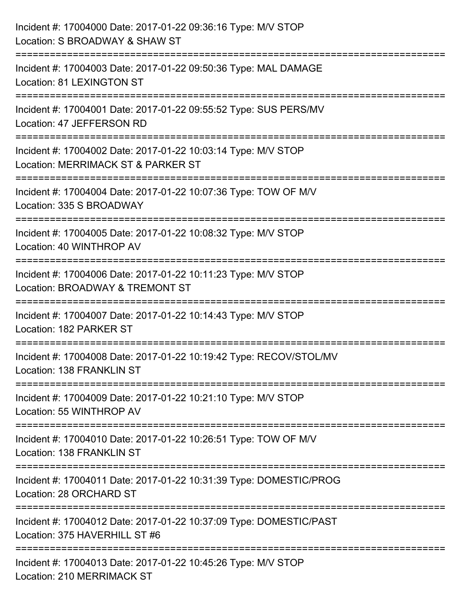| Incident #: 17004000 Date: 2017-01-22 09:36:16 Type: M/V STOP<br>Location: S BROADWAY & SHAW ST                                 |
|---------------------------------------------------------------------------------------------------------------------------------|
| Incident #: 17004003 Date: 2017-01-22 09:50:36 Type: MAL DAMAGE<br>Location: 81 LEXINGTON ST                                    |
| Incident #: 17004001 Date: 2017-01-22 09:55:52 Type: SUS PERS/MV<br>Location: 47 JEFFERSON RD<br>;============================= |
| Incident #: 17004002 Date: 2017-01-22 10:03:14 Type: M/V STOP<br>Location: MERRIMACK ST & PARKER ST                             |
| Incident #: 17004004 Date: 2017-01-22 10:07:36 Type: TOW OF M/V<br>Location: 335 S BROADWAY                                     |
| Incident #: 17004005 Date: 2017-01-22 10:08:32 Type: M/V STOP<br>Location: 40 WINTHROP AV                                       |
| Incident #: 17004006 Date: 2017-01-22 10:11:23 Type: M/V STOP<br>Location: BROADWAY & TREMONT ST                                |
| Incident #: 17004007 Date: 2017-01-22 10:14:43 Type: M/V STOP<br>Location: 182 PARKER ST                                        |
| Incident #: 17004008 Date: 2017-01-22 10:19:42 Type: RECOV/STOL/MV<br>Location: 138 FRANKLIN ST                                 |
| Incident #: 17004009 Date: 2017-01-22 10:21:10 Type: M/V STOP<br>Location: 55 WINTHROP AV                                       |
| Incident #: 17004010 Date: 2017-01-22 10:26:51 Type: TOW OF M/V<br>Location: 138 FRANKLIN ST                                    |
| Incident #: 17004011 Date: 2017-01-22 10:31:39 Type: DOMESTIC/PROG<br>Location: 28 ORCHARD ST                                   |
| Incident #: 17004012 Date: 2017-01-22 10:37:09 Type: DOMESTIC/PAST<br>Location: 375 HAVERHILL ST #6                             |
| Incident #: 17004013 Date: 2017-01-22 10:45:26 Type: M/V STOP<br>Location: 210 MERRIMACK ST                                     |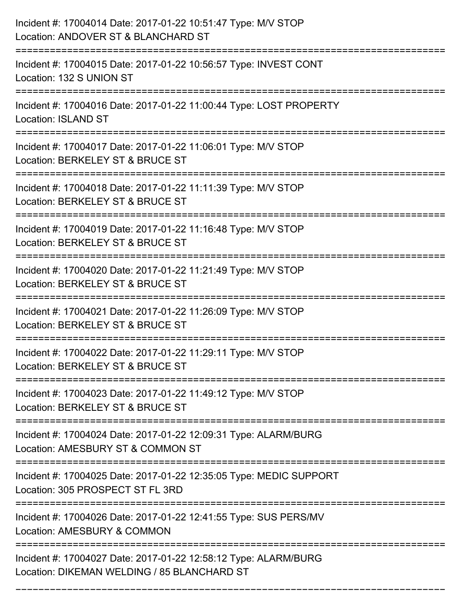| Incident #: 17004014 Date: 2017-01-22 10:51:47 Type: M/V STOP<br>Location: ANDOVER ST & BLANCHARD ST           |
|----------------------------------------------------------------------------------------------------------------|
| Incident #: 17004015 Date: 2017-01-22 10:56:57 Type: INVEST CONT<br>Location: 132 S UNION ST                   |
| Incident #: 17004016 Date: 2017-01-22 11:00:44 Type: LOST PROPERTY<br><b>Location: ISLAND ST</b>               |
| Incident #: 17004017 Date: 2017-01-22 11:06:01 Type: M/V STOP<br>Location: BERKELEY ST & BRUCE ST              |
| Incident #: 17004018 Date: 2017-01-22 11:11:39 Type: M/V STOP<br>Location: BERKELEY ST & BRUCE ST              |
| Incident #: 17004019 Date: 2017-01-22 11:16:48 Type: M/V STOP<br>Location: BERKELEY ST & BRUCE ST              |
| Incident #: 17004020 Date: 2017-01-22 11:21:49 Type: M/V STOP<br>Location: BERKELEY ST & BRUCE ST              |
| Incident #: 17004021 Date: 2017-01-22 11:26:09 Type: M/V STOP<br>Location: BERKELEY ST & BRUCE ST              |
| Incident #: 17004022 Date: 2017-01-22 11:29:11 Type: M/V STOP<br>Location: BERKELEY ST & BRUCE ST              |
| Incident #: 17004023 Date: 2017-01-22 11:49:12 Type: M/V STOP<br>Location: BERKELEY ST & BRUCE ST              |
| Incident #: 17004024 Date: 2017-01-22 12:09:31 Type: ALARM/BURG<br>Location: AMESBURY ST & COMMON ST           |
| Incident #: 17004025 Date: 2017-01-22 12:35:05 Type: MEDIC SUPPORT<br>Location: 305 PROSPECT ST FL 3RD         |
| Incident #: 17004026 Date: 2017-01-22 12:41:55 Type: SUS PERS/MV<br>Location: AMESBURY & COMMON                |
| Incident #: 17004027 Date: 2017-01-22 12:58:12 Type: ALARM/BURG<br>Location: DIKEMAN WELDING / 85 BLANCHARD ST |

===========================================================================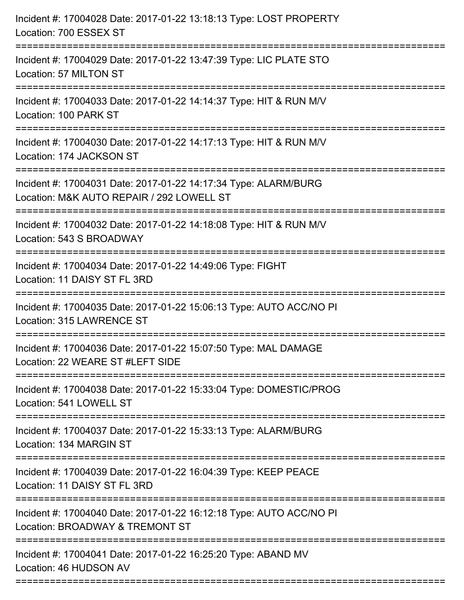| Incident #: 17004028 Date: 2017-01-22 13:18:13 Type: LOST PROPERTY<br>Location: 700 ESSEX ST                                                   |
|------------------------------------------------------------------------------------------------------------------------------------------------|
| Incident #: 17004029 Date: 2017-01-22 13:47:39 Type: LIC PLATE STO<br>Location: 57 MILTON ST                                                   |
| Incident #: 17004033 Date: 2017-01-22 14:14:37 Type: HIT & RUN M/V<br>Location: 100 PARK ST                                                    |
| Incident #: 17004030 Date: 2017-01-22 14:17:13 Type: HIT & RUN M/V<br>Location: 174 JACKSON ST                                                 |
| Incident #: 17004031 Date: 2017-01-22 14:17:34 Type: ALARM/BURG<br>Location: M&K AUTO REPAIR / 292 LOWELL ST<br>:============================= |
| Incident #: 17004032 Date: 2017-01-22 14:18:08 Type: HIT & RUN M/V<br>Location: 543 S BROADWAY                                                 |
| Incident #: 17004034 Date: 2017-01-22 14:49:06 Type: FIGHT<br>Location: 11 DAISY ST FL 3RD                                                     |
| Incident #: 17004035 Date: 2017-01-22 15:06:13 Type: AUTO ACC/NO PI<br>Location: 315 LAWRENCE ST                                               |
| Incident #: 17004036 Date: 2017-01-22 15:07:50 Type: MAL DAMAGE<br>Location: 22 WEARE ST #LEFT SIDE                                            |
| Incident #: 17004038 Date: 2017-01-22 15:33:04 Type: DOMESTIC/PROG<br>Location: 541 LOWELL ST                                                  |
| Incident #: 17004037 Date: 2017-01-22 15:33:13 Type: ALARM/BURG<br>Location: 134 MARGIN ST                                                     |
| Incident #: 17004039 Date: 2017-01-22 16:04:39 Type: KEEP PEACE<br>Location: 11 DAISY ST FL 3RD                                                |
| Incident #: 17004040 Date: 2017-01-22 16:12:18 Type: AUTO ACC/NO PI<br>Location: BROADWAY & TREMONT ST                                         |
| ---------------------------<br>Incident #: 17004041 Date: 2017-01-22 16:25:20 Type: ABAND MV<br>Location: 46 HUDSON AV                         |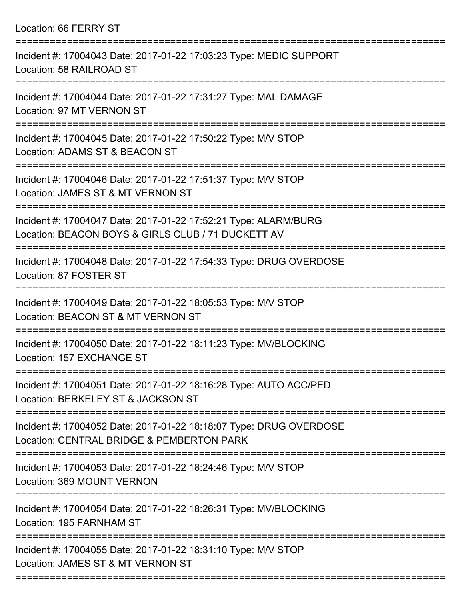Location: 66 FERRY ST

| Incident #: 17004043 Date: 2017-01-22 17:03:23 Type: MEDIC SUPPORT<br>Location: 58 RAILROAD ST                             |
|----------------------------------------------------------------------------------------------------------------------------|
| Incident #: 17004044 Date: 2017-01-22 17:31:27 Type: MAL DAMAGE<br>Location: 97 MT VERNON ST                               |
| Incident #: 17004045 Date: 2017-01-22 17:50:22 Type: M/V STOP<br>Location: ADAMS ST & BEACON ST                            |
| Incident #: 17004046 Date: 2017-01-22 17:51:37 Type: M/V STOP<br>Location: JAMES ST & MT VERNON ST                         |
| Incident #: 17004047 Date: 2017-01-22 17:52:21 Type: ALARM/BURG<br>Location: BEACON BOYS & GIRLS CLUB / 71 DUCKETT AV      |
| ==========================<br>Incident #: 17004048 Date: 2017-01-22 17:54:33 Type: DRUG OVERDOSE<br>Location: 87 FOSTER ST |
| Incident #: 17004049 Date: 2017-01-22 18:05:53 Type: M/V STOP<br>Location: BEACON ST & MT VERNON ST                        |
| Incident #: 17004050 Date: 2017-01-22 18:11:23 Type: MV/BLOCKING<br>Location: 157 EXCHANGE ST                              |
| Incident #: 17004051 Date: 2017-01-22 18:16:28 Type: AUTO ACC/PED<br>Location: BERKELEY ST & JACKSON ST                    |
| Incident #: 17004052 Date: 2017-01-22 18:18:07 Type: DRUG OVERDOSE<br>Location: CENTRAL BRIDGE & PEMBERTON PARK            |
| Incident #: 17004053 Date: 2017-01-22 18:24:46 Type: M/V STOP<br>Location: 369 MOUNT VERNON                                |
| Incident #: 17004054 Date: 2017-01-22 18:26:31 Type: MV/BLOCKING<br>Location: 195 FARNHAM ST                               |
| Incident #: 17004055 Date: 2017-01-22 18:31:10 Type: M/V STOP<br>Location: JAMES ST & MT VERNON ST                         |
|                                                                                                                            |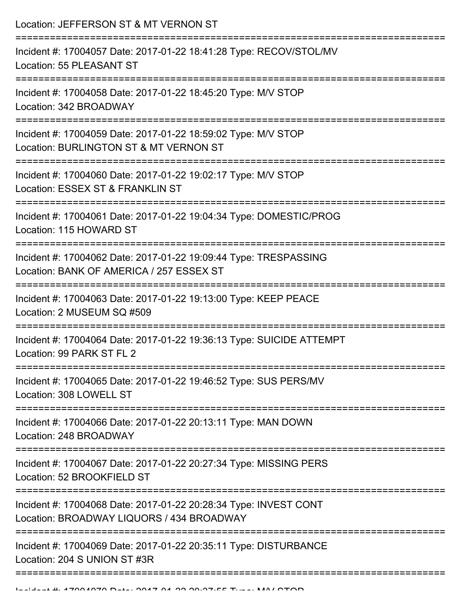Location: JEFFERSON ST & MT VERNON ST =========================================================================== Incident #: 17004057 Date: 2017-01-22 18:41:28 Type: RECOV/STOL/MV Location: 55 PLEASANT ST =========================================================================== Incident #: 17004058 Date: 2017-01-22 18:45:20 Type: M/V STOP Location: 342 BROADWAY =========================================================================== Incident #: 17004059 Date: 2017-01-22 18:59:02 Type: M/V STOP Location: BURLINGTON ST & MT VERNON ST =========================================================================== Incident #: 17004060 Date: 2017-01-22 19:02:17 Type: M/V STOP Location: ESSEX ST & FRANKLIN ST =========================================================================== Incident #: 17004061 Date: 2017-01-22 19:04:34 Type: DOMESTIC/PROG Location: 115 HOWARD ST =========================================================================== Incident #: 17004062 Date: 2017-01-22 19:09:44 Type: TRESPASSING Location: BANK OF AMERICA / 257 ESSEX ST =========================================================================== Incident #: 17004063 Date: 2017-01-22 19:13:00 Type: KEEP PEACE Location: 2 MUSEUM SQ #509 =========================================================================== Incident #: 17004064 Date: 2017-01-22 19:36:13 Type: SUICIDE ATTEMPT Location: 99 PARK ST FL 2 =========================================================================== Incident #: 17004065 Date: 2017-01-22 19:46:52 Type: SUS PERS/MV Location: 308 LOWELL ST =========================================================================== Incident #: 17004066 Date: 2017-01-22 20:13:11 Type: MAN DOWN Location: 248 BROADWAY =========================================================================== Incident #: 17004067 Date: 2017-01-22 20:27:34 Type: MISSING PERS Location: 52 BROOKFIELD ST =========================================================================== Incident #: 17004068 Date: 2017-01-22 20:28:34 Type: INVEST CONT Location: BROADWAY LIQUORS / 434 BROADWAY =========================================================================== Incident #: 17004069 Date: 2017-01-22 20:35:11 Type: DISTURBANCE Location: 204 S UNION ST #3R ===========================================================================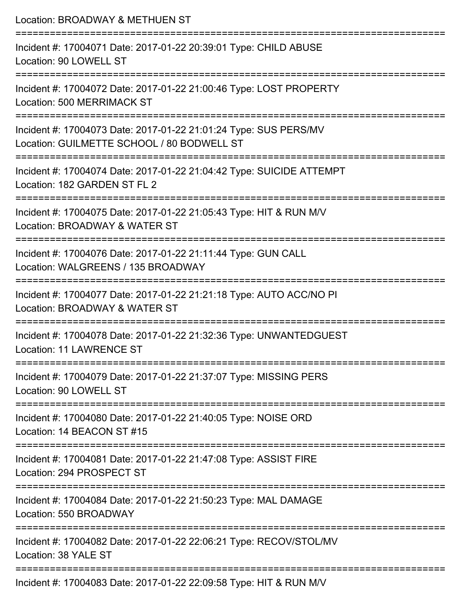| Location: BROADWAY & METHUEN ST                                                                                                                                      |
|----------------------------------------------------------------------------------------------------------------------------------------------------------------------|
| Incident #: 17004071 Date: 2017-01-22 20:39:01 Type: CHILD ABUSE<br>Location: 90 LOWELL ST                                                                           |
| Incident #: 17004072 Date: 2017-01-22 21:00:46 Type: LOST PROPERTY<br><b>Location: 500 MERRIMACK ST</b>                                                              |
| Incident #: 17004073 Date: 2017-01-22 21:01:24 Type: SUS PERS/MV<br>Location: GUILMETTE SCHOOL / 80 BODWELL ST                                                       |
| ===========================<br>Incident #: 17004074 Date: 2017-01-22 21:04:42 Type: SUICIDE ATTEMPT<br>Location: 182 GARDEN ST FL 2                                  |
| Incident #: 17004075 Date: 2017-01-22 21:05:43 Type: HIT & RUN M/V<br>Location: BROADWAY & WATER ST                                                                  |
| ==================================<br>:======================<br>Incident #: 17004076 Date: 2017-01-22 21:11:44 Type: GUN CALL<br>Location: WALGREENS / 135 BROADWAY |
| :2222222222222222222<br>Incident #: 17004077 Date: 2017-01-22 21:21:18 Type: AUTO ACC/NO PI<br>Location: BROADWAY & WATER ST                                         |
| ----------------<br>Incident #: 17004078 Date: 2017-01-22 21:32:36 Type: UNWANTEDGUEST<br>Location: 11 LAWRENCE ST                                                   |
| =================================<br>===========================<br>Incident #: 17004079 Date: 2017-01-22 21:37:07 Type: MISSING PERS<br>Location: 90 LOWELL ST      |
| Incident #: 17004080 Date: 2017-01-22 21:40:05 Type: NOISE ORD<br>Location: 14 BEACON ST #15                                                                         |
| Incident #: 17004081 Date: 2017-01-22 21:47:08 Type: ASSIST FIRE<br>Location: 294 PROSPECT ST                                                                        |
| Incident #: 17004084 Date: 2017-01-22 21:50:23 Type: MAL DAMAGE<br>Location: 550 BROADWAY                                                                            |
| Incident #: 17004082 Date: 2017-01-22 22:06:21 Type: RECOV/STOL/MV<br>Location: 38 YALE ST                                                                           |
|                                                                                                                                                                      |

Incident #: 17004083 Date: 2017-01-22 22:09:58 Type: HIT & RUN M/V